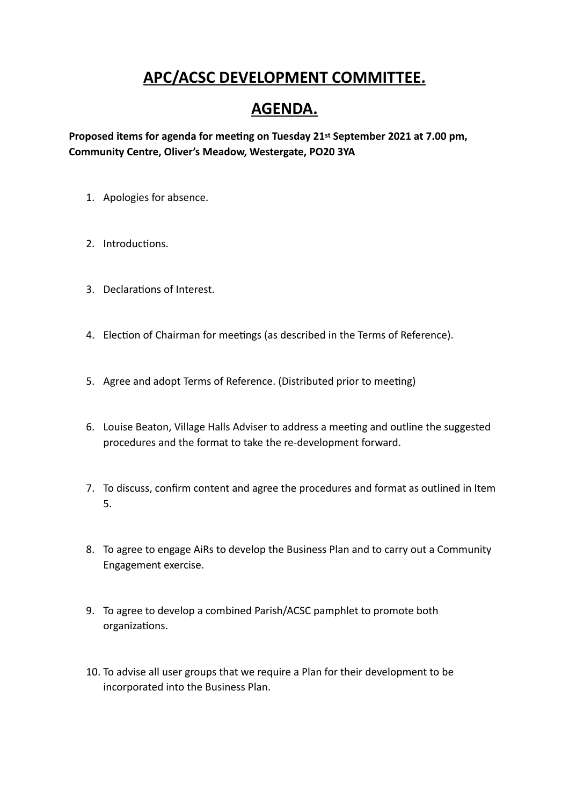## **APC/ACSC DEVELOPMENT COMMITTEE.**

## **AGENDA.**

**Proposed items for agenda for meeting on Tuesday 21st September 2021 at 7.00 pm, Community Centre, Oliver's Meadow, Westergate, PO20 3YA**

- 1. Apologies for absence.
- 2. Introductions.
- 3. Declarations of Interest.
- 4. Election of Chairman for meetings (as described in the Terms of Reference).
- 5. Agree and adopt Terms of Reference. (Distributed prior to meeting)
- 6. Louise Beaton, Village Halls Adviser to address a meeting and outline the suggested procedures and the format to take the re-development forward.
- 7. To discuss, confirm content and agree the procedures and format as outlined in Item 5.
- 8. To agree to engage AiRs to develop the Business Plan and to carry out a Community Engagement exercise.
- 9. To agree to develop a combined Parish/ACSC pamphlet to promote both organizations.
- 10. To advise all user groups that we require a Plan for their development to be incorporated into the Business Plan.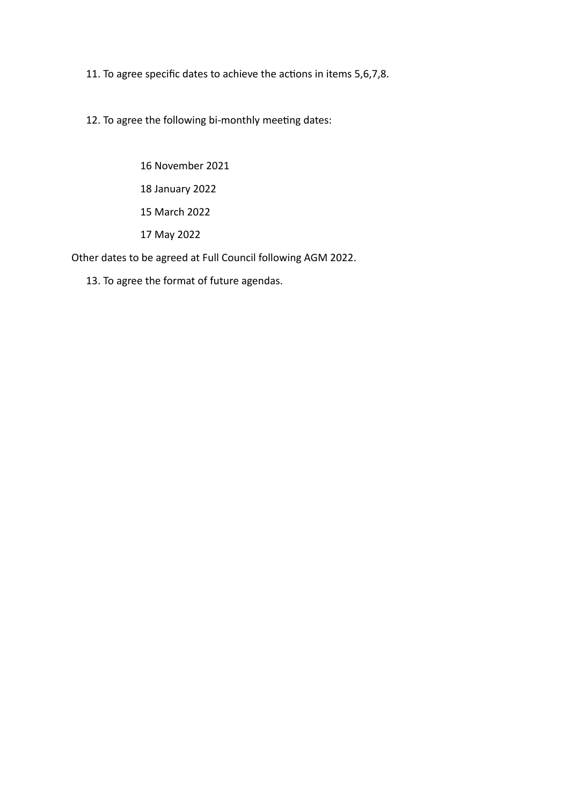11. To agree specific dates to achieve the actions in items 5,6,7,8.

12. To agree the following bi-monthly meeting dates:

 16 November 2021 18 January 2022 15 March 2022 17 May 2022

Other dates to be agreed at Full Council following AGM 2022.

13. To agree the format of future agendas.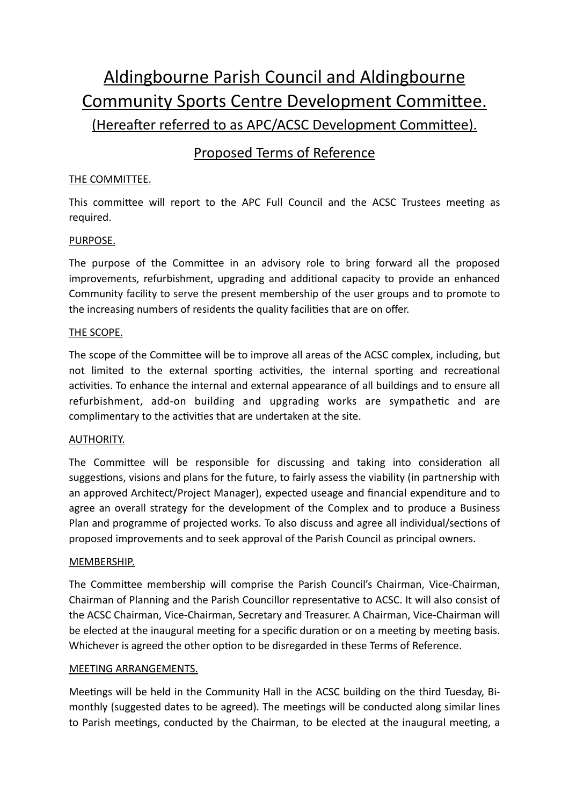# Aldingbourne Parish Council and Aldingbourne Community Sports Centre Development Committee. (Hereafter referred to as APC/ACSC Development Committee).

### Proposed Terms of Reference

#### THE COMMITTEE.

This committee will report to the APC Full Council and the ACSC Trustees meeting as required.

#### PURPOSE.

The purpose of the Committee in an advisory role to bring forward all the proposed improvements, refurbishment, upgrading and additional capacity to provide an enhanced Community facility to serve the present membership of the user groups and to promote to the increasing numbers of residents the quality facilities that are on offer.

#### THE SCOPE.

The scope of the Committee will be to improve all areas of the ACSC complex, including, but not limited to the external sporting activities, the internal sporting and recreational activities. To enhance the internal and external appearance of all buildings and to ensure all refurbishment, add-on building and upgrading works are sympathetic and are complimentary to the activities that are undertaken at the site.

#### AUTHORITY.

The Committee will be responsible for discussing and taking into consideration all suggestions, visions and plans for the future, to fairly assess the viability (in partnership with an approved Architect/Project Manager), expected useage and financial expenditure and to agree an overall strategy for the development of the Complex and to produce a Business Plan and programme of projected works. To also discuss and agree all individual/sections of proposed improvements and to seek approval of the Parish Council as principal owners.

#### MEMBERSHIP.

The Committee membership will comprise the Parish Council's Chairman, Vice-Chairman, Chairman of Planning and the Parish Councillor representative to ACSC. It will also consist of the ACSC Chairman, Vice-Chairman, Secretary and Treasurer. A Chairman, Vice-Chairman will be elected at the inaugural meeting for a specific duration or on a meeting by meeting basis. Whichever is agreed the other option to be disregarded in these Terms of Reference.

#### MEETING ARRANGEMENTS.

Meetings will be held in the Community Hall in the ACSC building on the third Tuesday, Bimonthly (suggested dates to be agreed). The meetings will be conducted along similar lines to Parish meetings, conducted by the Chairman, to be elected at the inaugural meeting, a